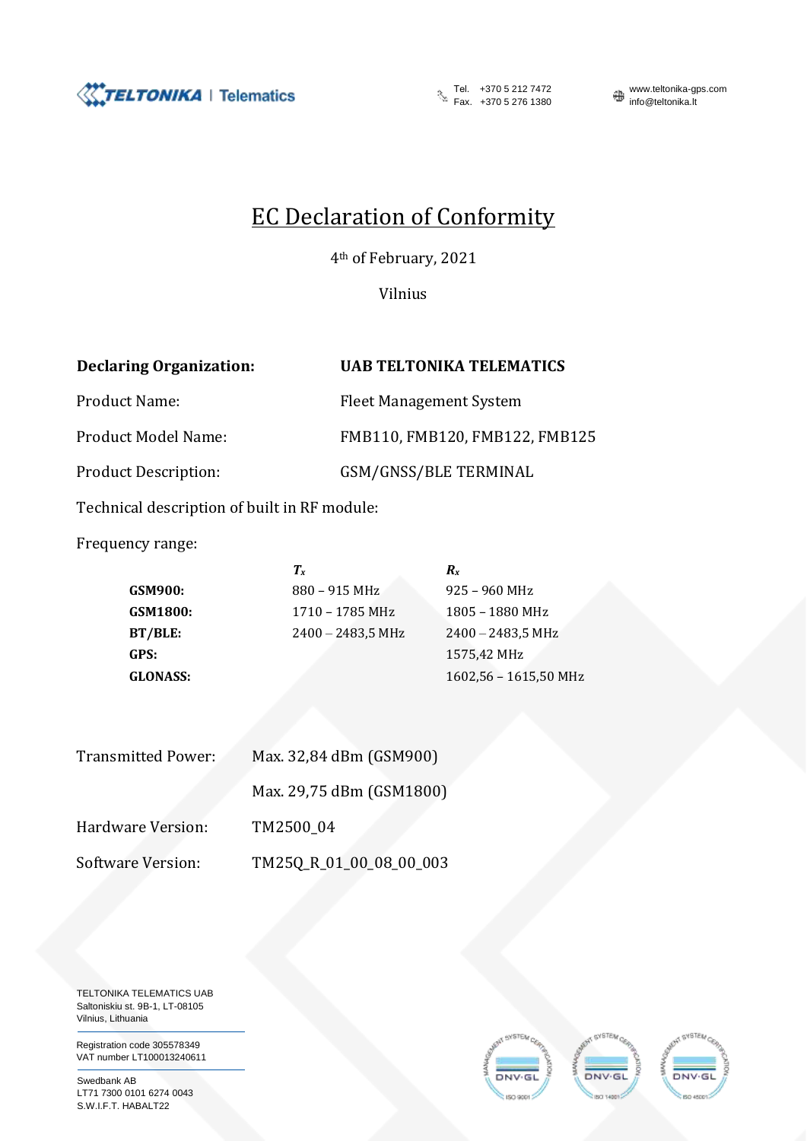

Tel.  $+37052127472$ <br>Fax.  $+37052761380$  info@teltonika.lt

Теl. +370 5 212 7472 www.teltonika-gps.com

## EC Declaration of Conformity

4th of February, 2021

Vilnius

**Declaring Organization: UAB TELTONIKA TELEMATICS** Product Name: Fleet Management System Product Model Name: FMB110, FMB120, FMB122, FMB125 Product Description: GSM/GNSS/BLE TERMINAL

Technical description of built in RF module:

Frequency range:

 $T_x$  *R*<sub>*x*</sub> **GSM900:** 880 – 915 MHz 925 – 960 MHz GSM1800: 1710 – 1785 MHz 1805 – 1880 MHz **BT/BLE:** 2400 – 2483,5 MHz 2400 – 2483,5 MHz **GPS:** 1575,42 MHz **GLONASS:** 1602,56 – 1615,50 MHz

| <b>Transmitted Power:</b> | Max. 32,84 dBm (GSM900)  |  |
|---------------------------|--------------------------|--|
|                           | Max. 29,75 dBm (GSM1800) |  |
| Hardware Version:         | TM2500 04                |  |
| <b>Software Version:</b>  | TM25Q_R_01_00_08_00_003  |  |

TELTONIKA TELEMATICS UAB Saltoniskiu st. 9B-1, LT-08105 Vilnius, Lithuania

Registration code 305578349 VAT number LT100013240611

Swedbank AB LT71 7300 0101 6274 0043 S.W.I.F.T. HABALT22